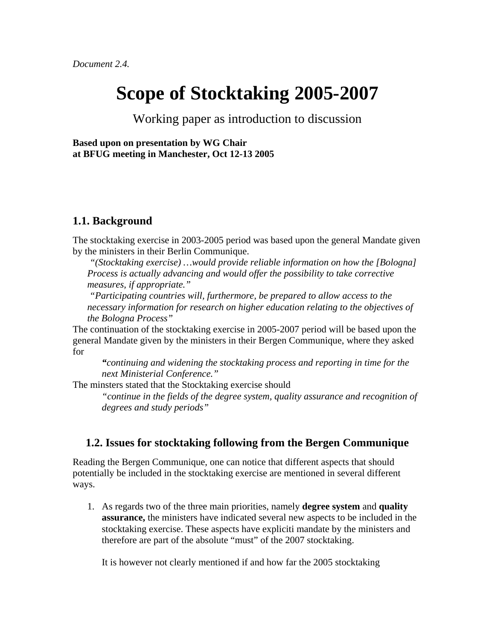# **Scope of Stocktaking 2005-2007**

Working paper as introduction to discussion

**Based upon on presentation by WG Chair at BFUG meeting in Manchester, Oct 12-13 2005** 

### **1.1. Background**

The stocktaking exercise in 2003-2005 period was based upon the general Mandate given by the ministers in their Berlin Communique.

 *"(Stocktaking exercise) …would provide reliable information on how the [Bologna] Process is actually advancing and would offer the possibility to take corrective measures, if appropriate."* 

 *"Participating countries will, furthermore, be prepared to allow access to the necessary information for research on higher education relating to the objectives of the Bologna Process"* 

The continuation of the stocktaking exercise in 2005-2007 period will be based upon the general Mandate given by the ministers in their Bergen Communique, where they asked for

*"continuing and widening the stocktaking process and reporting in time for the next Ministerial Conference."* 

The minsters stated that the Stocktaking exercise should

*"continue in the fields of the degree system, quality assurance and recognition of degrees and study periods"* 

# **1.2. Issues for stocktaking following from the Bergen Communique**

Reading the Bergen Communique, one can notice that different aspects that should potentially be included in the stocktaking exercise are mentioned in several different ways.

1. As regards two of the three main priorities, namely **degree system** and **quality assurance,** the ministers have indicated several new aspects to be included in the stocktaking exercise. These aspects have expliciti mandate by the ministers and therefore are part of the absolute "must" of the 2007 stocktaking.

It is however not clearly mentioned if and how far the 2005 stocktaking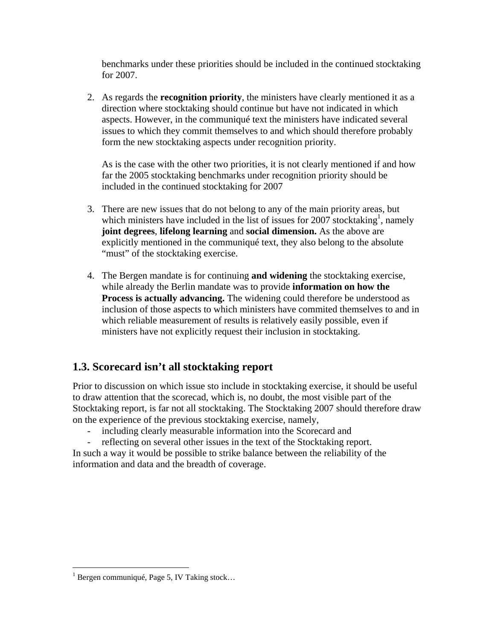benchmarks under these priorities should be included in the continued stocktaking for 2007.

2. As regards the **recognition priority**, the ministers have clearly mentioned it as a direction where stocktaking should continue but have not indicated in which aspects. However, in the communiqué text the ministers have indicated several issues to which they commit themselves to and which should therefore probably form the new stocktaking aspects under recognition priority.

As is the case with the other two priorities, it is not clearly mentioned if and how far the 2005 stocktaking benchmarks under recognition priority should be included in the continued stocktaking for 2007

- 3. There are new issues that do not belong to any of the main priority areas, but which ministers have included in the list of issues for 2007 stocktaking<sup>1</sup>, namely **joint degrees**, **lifelong learning** and **social dimension.** As the above are explicitly mentioned in the communiqué text, they also belong to the absolute "must" of the stocktaking exercise.
- 4. The Bergen mandate is for continuing **and widening** the stocktaking exercise, while already the Berlin mandate was to provide **information on how the Process is actually advancing.** The widening could therefore be understood as inclusion of those aspects to which ministers have commited themselves to and in which reliable measurement of results is relatively easily possible, even if ministers have not explicitly request their inclusion in stocktaking.

# **1.3. Scorecard isn't all stocktaking report**

Prior to discussion on which issue sto include in stocktaking exercise, it should be useful to draw attention that the scorecad, which is, no doubt, the most visible part of the Stocktaking report, is far not all stocktaking. The Stocktaking 2007 should therefore draw on the experience of the previous stocktaking exercise, namely,

- including clearly measurable information into the Scorecard and
- reflecting on several other issues in the text of the Stocktaking report.

In such a way it would be possible to strike balance between the reliability of the information and data and the breadth of coverage.

 $\overline{a}$ 

<span id="page-1-0"></span> $<sup>1</sup>$  Bergen communiqué, Page 5, IV Taking stock...</sup>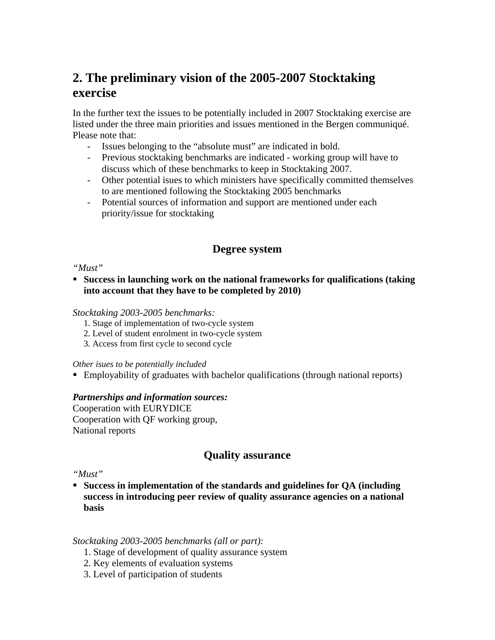# **2. The preliminary vision of the 2005-2007 Stocktaking exercise**

In the further text the issues to be potentially included in 2007 Stocktaking exercise are listed under the three main priorities and issues mentioned in the Bergen communiqué. Please note that:

- Issues belonging to the "absolute must" are indicated in bold.
- Previous stocktaking benchmarks are indicated working group will have to discuss which of these benchmarks to keep in Stocktaking 2007.
- Other potential isues to which ministers have specifically committed themselves to are mentioned following the Stocktaking 2005 benchmarks
- Potential sources of information and support are mentioned under each priority/issue for stocktaking

# **Degree system**

#### *"Must"*

 **Success in launching work on the national frameworks for qualifications (taking into account that they have to be completed by 2010)** 

#### *Stocktaking 2003-2005 benchmarks:*

- 1. Stage of implementation of two-cycle system
- 2. Level of student enrolment in two-cycle system
- 3. Access from first cycle to second cycle

#### *Other isues to be potentially included*

Employability of graduates with bachelor qualifications (through national reports)

#### *Partnerships and information sources:*

Cooperation with EURYDICE Cooperation with QF working group, National reports

# **Quality assurance**

#### *"Must"*

 **Success in implementation of the standards and guidelines for QA (including success in introducing peer review of quality assurance agencies on a national basis** 

#### *Stocktaking 2003-2005 benchmarks (all or part):*

- 1. Stage of development of quality assurance system
- 2. Key elements of evaluation systems
- 3. Level of participation of students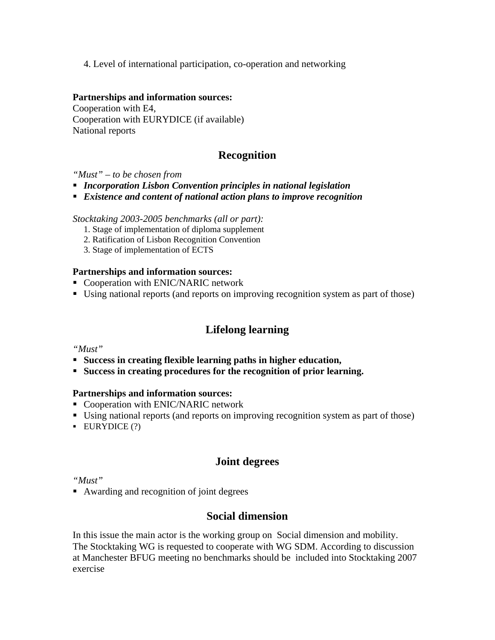4. Level of international participation, co-operation and networking

#### **Partnerships and information sources:**

Cooperation with E4, Cooperation with EURYDICE (if available) National reports

# **Recognition**

#### *"Must" – to be chosen from*

- *Incorporation Lisbon Convention principles in national legislation*
- *Existence and content of national action plans to improve recognition*

*Stocktaking 2003-2005 benchmarks (all or part):* 

- 1. Stage of implementation of diploma supplement
- 2. Ratification of Lisbon Recognition Convention
- 3. Stage of implementation of ECTS

#### **Partnerships and information sources:**

- Cooperation with ENIC/NARIC network
- Using national reports (and reports on improving recognition system as part of those)

# **Lifelong learning**

#### *"Must"*

- **Success in creating flexible learning paths in higher education,**
- **Success in creating procedures for the recognition of prior learning.**

#### **Partnerships and information sources:**

- Cooperation with ENIC/NARIC network
- Using national reports (and reports on improving recognition system as part of those)
- **EURYDICE** (?)

# **Joint degrees**

*"Must"* 

■ Awarding and recognition of joint degrees

# **Social dimension**

In this issue the main actor is the working group on Social dimension and mobility. The Stocktaking WG is requested to cooperate with WG SDM. According to discussion at Manchester BFUG meeting no benchmarks should be included into Stocktaking 2007 exercise